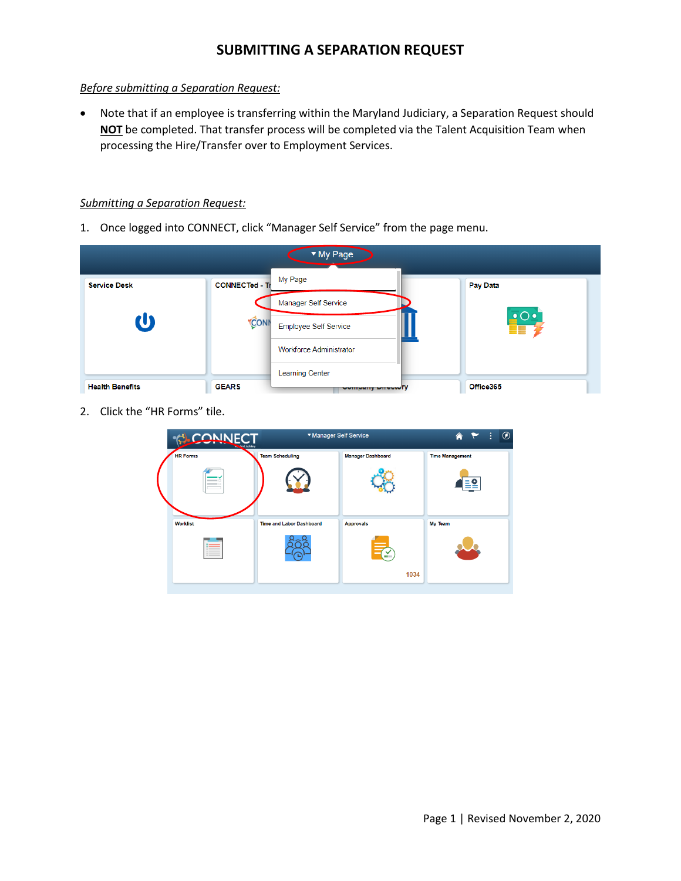#### *Before submitting a Separation Request:*

• Note that if an employee is transferring within the Maryland Judiciary, a Separation Request should **NOT** be completed. That transfer process will be completed via the Talent Acquisition Team when processing the Hire/Transfer over to Employment Services.

#### *Submitting a Separation Request:*

1. Once logged into CONNECT, click "Manager Self Service" from the page menu.



2. Click the "HR Forms" tile.

| <b>CONNECT</b><br><b>And Judiciary</b> | ▼ Manager Self Service          |                          | $\circledcirc$<br>÷<br>合 |
|----------------------------------------|---------------------------------|--------------------------|--------------------------|
| <b>HR Forms</b>                        | <b>Team Scheduling</b>          | <b>Manager Dashboard</b> | <b>Time Management</b>   |
| <b>Worklist</b>                        | <b>Time and Labor Dashboard</b> | <b>Approvals</b><br>1034 | My Team                  |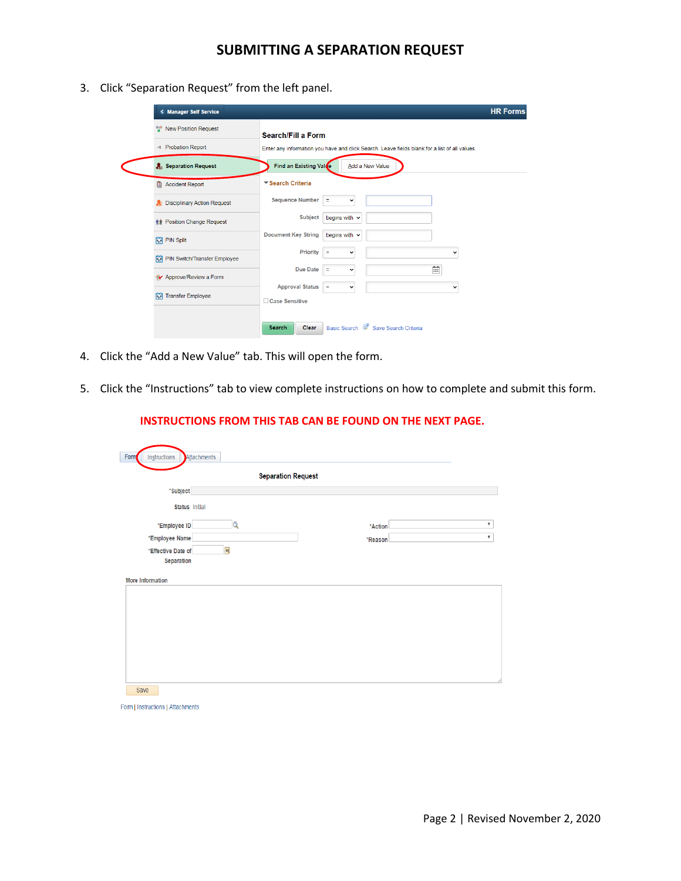3. Click "Separation Request" from the left panel.

| < Manager Self Service                   | <b>HR Forms</b>                                                                               |  |  |  |
|------------------------------------------|-----------------------------------------------------------------------------------------------|--|--|--|
| <b>New Position Request</b>              | <b>Search/Fill a Form</b>                                                                     |  |  |  |
| + Probation Report                       | Enter any information you have and click Search. Leave fields blank for a list of all values. |  |  |  |
| <b>A</b> <sub>3</sub> Separation Request | Find an Existing Value<br>Add a New Value                                                     |  |  |  |
| Accident Report                          | ▼ Search Criteria                                                                             |  |  |  |
| <b>Disciplinary Action Request</b>       | <b>Sequence Number</b><br>Ξ<br>v                                                              |  |  |  |
| <b>RA</b> Position Change Request        | <b>Subject</b><br>begins with $\sim$                                                          |  |  |  |
| <b>常 PIN Split</b>                       | <b>Document Key String</b><br>begins with $\sim$                                              |  |  |  |
| <b>FRI</b> PIN Switch/Transfer Employee  | Priority<br>Ξ<br>$\checkmark$<br>v                                                            |  |  |  |
| Approve/Review a Form                    | 崗<br><b>Due Date</b><br>Ξ<br>$\checkmark$                                                     |  |  |  |
| <b>常 Transfer Employee</b>               | <b>Approval Status</b><br>Ξ<br>$\checkmark$<br>v<br>□ Case Sensitive                          |  |  |  |
|                                          | Basic Search & Save Search Criteria<br><b>Clear</b><br><b>Search</b>                          |  |  |  |

- 4. Click the "Add a New Value" tab. This will open the form.
- 5. Click the "Instructions" tab to view complete instructions on how to complete and submit this form.

#### **INSTRUCTIONS FROM THIS TAB CAN BE FOUND ON THE NEXT PAGE.**

|                                  | <b>Separation Request</b> |         |                           |
|----------------------------------|---------------------------|---------|---------------------------|
| *Subject                         |                           |         |                           |
| <b>Status Initial</b>            |                           |         |                           |
| *Employee ID                     | $\alpha$                  | *Action | $\boldsymbol{\mathrm{v}}$ |
| *Employee Name                   |                           | *Reason | $\boldsymbol{\mathrm{v}}$ |
| *Effective Date of<br>Separation | $\overline{\mathbf{H}}$   |         |                           |
| More Information                 |                           |         |                           |

Form | Instructions | Attachments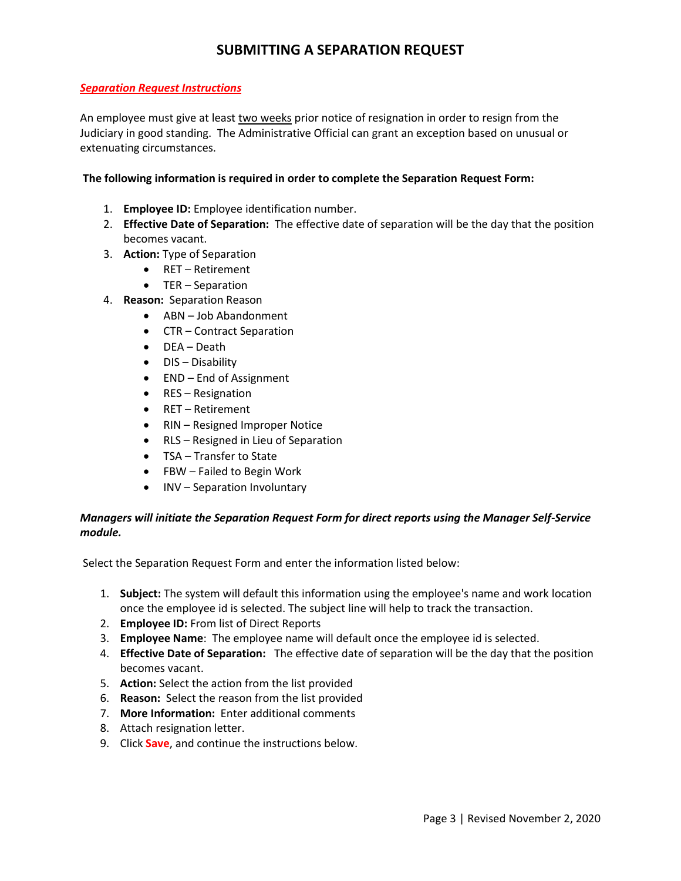#### *Separation Request Instructions*

An employee must give at least two weeks prior notice of resignation in order to resign from the Judiciary in good standing. The Administrative Official can grant an exception based on unusual or extenuating circumstances.

#### **The following information is required in order to complete the Separation Request Form:**

- 1. **Employee ID:** Employee identification number.
- 2. **Effective Date of Separation:** The effective date of separation will be the day that the position becomes vacant.
- 3. **Action:** Type of Separation
	- RET Retirement
	- TER Separation
- 4. **Reason:** Separation Reason
	- ABN Job Abandonment
	- CTR Contract Separation
	- DEA Death
	- DIS Disability
	- END End of Assignment
	- RES Resignation
	- RET Retirement
	- RIN Resigned Improper Notice
	- RLS Resigned in Lieu of Separation
	- TSA Transfer to State
	- FBW Failed to Begin Work
	- INV Separation Involuntary

### *Managers will initiate the Separation Request Form for direct reports using the Manager Self-Service module.*

Select the Separation Request Form and enter the information listed below:

- 1. **Subject:** The system will default this information using the employee's name and work location once the employee id is selected. The subject line will help to track the transaction.
- 2. **Employee ID:** From list of Direct Reports
- 3. **Employee Name**: The employee name will default once the employee id is selected.
- 4. **Effective Date of Separation:** The effective date of separation will be the day that the position becomes vacant.
- 5. **Action:** Select the action from the list provided
- 6. **Reason:** Select the reason from the list provided
- 7. **More Information:** Enter additional comments
- 8. Attach resignation letter.
- 9. Click **Save**, and continue the instructions below.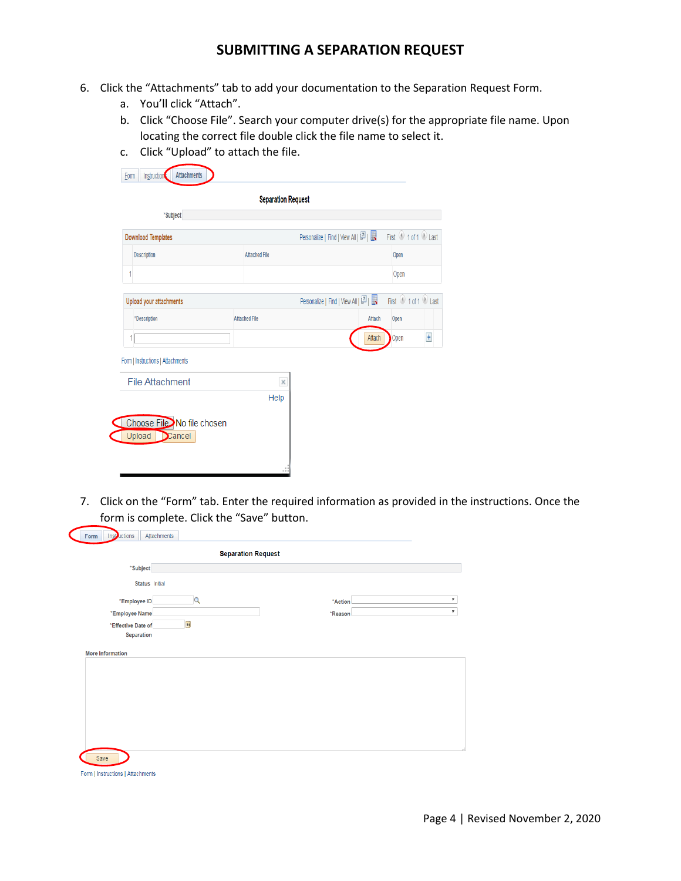- 6. Click the "Attachments" tab to add your documentation to the Separation Request Form.
	- a. You'll click "Attach".
	- b. Click "Choose File". Search your computer drive(s) for the appropriate file name. Upon locating the correct file double click the file name to select it.
	- c. Click "Upload" to attach the file.

|                                   | <b>Separation Request</b> |                                                           |        |                     |                |
|-----------------------------------|---------------------------|-----------------------------------------------------------|--------|---------------------|----------------|
| *Subject                          |                           |                                                           |        |                     |                |
| <b>Download Templates</b>         |                           | Personalize   Find   View All   [7]                       |        | First 1 of 1 D Last |                |
| <b>Description</b>                | <b>Attached File</b>      |                                                           |        | Open                |                |
| 1                                 |                           |                                                           |        | Open                |                |
| Upload your attachments           |                           | Personalize   Find   View All   $\boxed{2}$   $\boxed{3}$ |        | First 1 of 1 D Last |                |
| *Description                      | <b>Attached File</b>      |                                                           | Attach | Open                |                |
|                                   |                           |                                                           | Attach | Open                | $\overline{+}$ |
| Form   Instructions   Attachments |                           |                                                           |        |                     |                |
| <b>File Attachment</b>            | ×                         |                                                           |        |                     |                |
|                                   | Help                      |                                                           |        |                     |                |
| Choose File No file chosen        |                           |                                                           |        |                     |                |
| Upload<br>$\sum$ cancel           |                           |                                                           |        |                     |                |

7. Click on the "Form" tab. Enter the required information as provided in the instructions. Once the form is complete. Click the "Save" button.

|                       | <b>Separation Request</b> |         |  |
|-----------------------|---------------------------|---------|--|
| *Subject              |                           |         |  |
| <b>Status</b> Initial |                           |         |  |
| *Employee ID          | Q                         | *Action |  |
| *Employee Name        |                           | *Reason |  |
| *Effective Date of    | $\overline{\mathbf{B}}$   |         |  |
| <b>Separation</b>     |                           |         |  |
|                       |                           |         |  |
|                       |                           |         |  |